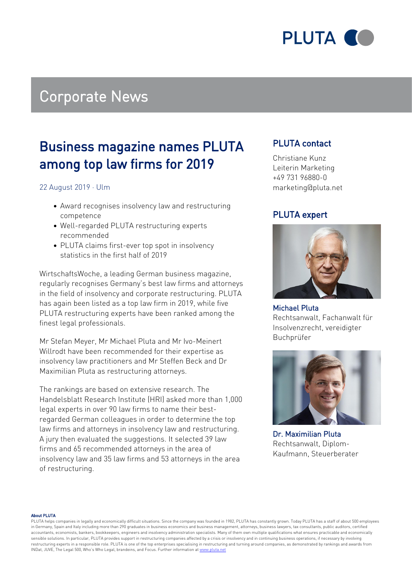

## Corporate News

### Business magazine names PLUTA among top law firms for 2019

22 August 2019 · Ulm

- Award recognises insolvency law and restructuring competence
- Well-regarded PLUTA restructuring experts recommended
- PLUTA claims first-ever top spot in insolvency statistics in the first half of 2019

WirtschaftsWoche, a leading German business magazine, regularly recognises Germany's best law firms and attorneys in the field of insolvency and corporate restructuring. PLUTA has again been listed as a top law firm in 2019, while five PLUTA restructuring experts have been ranked among the finest legal professionals.

Mr Stefan Meyer, Mr Michael Pluta and Mr Ivo-Meinert Willrodt have been recommended for their expertise as insolvency law practitioners and Mr Steffen Beck and Dr Maximilian Pluta as restructuring attorneys.

The rankings are based on extensive research. The Handelsblatt Research Institute (HRI) asked more than 1,000 legal experts in over 90 law firms to name their bestregarded German colleagues in order to determine the top law firms and attorneys in insolvency law and restructuring. A jury then evaluated the suggestions. It selected 39 law firms and 65 recommended attorneys in the area of insolvency law and 35 law firms and 53 attorneys in the area of restructuring.

### PLUTA contact

Christiane Kunz Leiterin Marketing +49 731 96880-0 marketing@pluta.net

### PLUTA expert



Michael Pluta Rechtsanwalt, Fachanwalt für Insolvenzrecht, vereidigter Buchprüfer



Dr. Maximilian Pluta Rechtsanwalt, Diplom-Kaufmann, Steuerberater

#### About PLUTA

PLUTA helps companies in legally and economically difficult situations. Since the company was founded in 1982, PLUTA has constantly grown. Today PLUTA has a staff of about 500 employees in Germany, Spain and Italy including more than 290 graduates in business economics and business management, attorneys, business lawyers, tax consultants, public auditors, certified accountants, economists, bankers, bookkeepers, engineers and insolvency administration specialists. Many of them own multiple qualifications what ensures practicable and economically sensible solutions. In particular, PLUTA provides support in restructuring companies affected by a crisis or insolvency and in continuing business operations, if necessary by involving restructuring experts in a responsible role. PLUTA is one of the top enterprises specialising in restructuring and turning around companies, as demonstrated by rankings and awards from INDat, JUVE, The Legal 500, Who's Who Legal, brandeins, and Focus. Further information at [www.pluta.net](https:/www.pluta.net/en)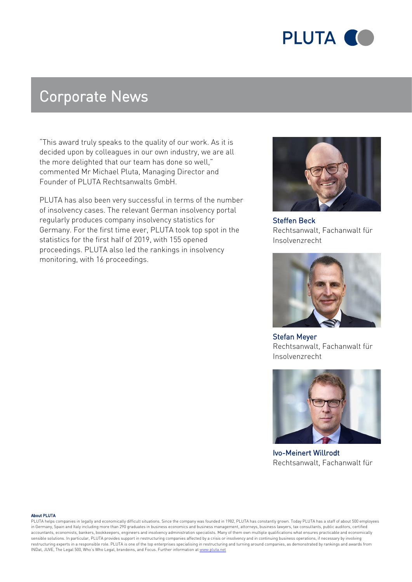

## Corporate News

"This award truly speaks to the quality of our work. As it is decided upon by colleagues in our own industry, we are all the more delighted that our team has done so well," commented Mr Michael Pluta, Managing Director and Founder of PLUTA Rechtsanwalts GmbH.

PLUTA has also been very successful in terms of the number of insolvency cases. The relevant German insolvency portal regularly produces company insolvency statistics for Germany. For the first time ever, PLUTA took top spot in the statistics for the first half of 2019, with 155 opened proceedings. PLUTA also led the rankings in insolvency monitoring, with 16 proceedings.



Steffen Beck Rechtsanwalt, Fachanwalt für Insolvenzrecht



Stefan Meyer Rechtsanwalt, Fachanwalt für Insolvenzrecht



Ivo-Meinert Willrodt Rechtsanwalt, Fachanwalt für

#### About PLUTA

PLUTA helps companies in legally and economically difficult situations. Since the company was founded in 1982, PLUTA has constantly grown. Today PLUTA has a staff of about 500 employees in Germany, Spain and Italy including more than 290 graduates in business economics and business management, attorneys, business lawyers, tax consultants, public auditors, certified accountants, economists, bankers, bookkeepers, engineers and insolvency administration specialists. Many of them own multiple qualifications what ensures practicable and economically sensible solutions. In particular, PLUTA provides support in restructuring companies affected by a crisis or insolvency and in continuing business operations, if necessary by involving restructuring experts in a responsible role. PLUTA is one of the top enterprises specialising in restructuring and turning around companies, as demonstrated by rankings and awards from INDat, JUVE, The Legal 500, Who's Who Legal, brandeins, and Focus. Further information at [www.pluta.net](https:/www.pluta.net/en)